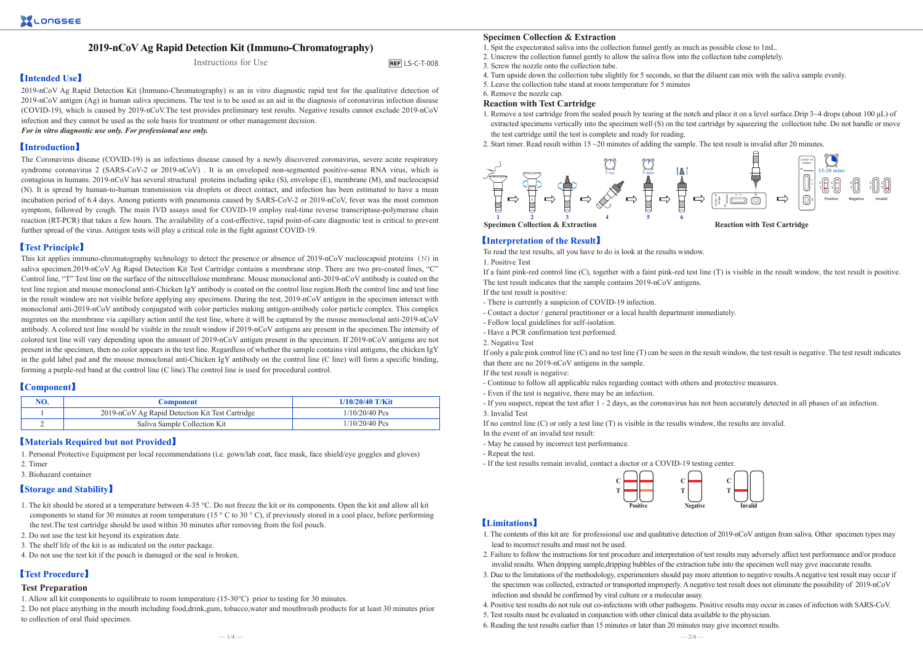# **2019-nCoV Ag Rapid Detection Kit (Immuno-Chromatography)**

# Instructions for Use

 $RFFI + S-C-T-008$ 

# 【**Intended Use**】

2019-nCoV Ag Rapid Detection Kit (Immuno-Chromatography) is an in vitro diagnostic rapid test for the qualitative detection of 2019-nCoV antigen (Ag) in human saliva specimens. The test is to be used as an aid in the diagnosis of coronavirus infection disease (COVID-19), which is caused by 2019-nCoV.The test provides preliminary test results. Negative results cannot exclude 2019-nCoV infection and they cannot be used as the sole basis for treatment or other management decision.

*For in vitro diagnostic use only. For professional use only.*

# 【**Introduction**】

The Coronavirus disease (COVID-19) is an infectious disease caused by a newly discovered coronavirus, severe acute respiratory syndrome coronavirus 2 (SARS-CoV-2 or 2019-nCoV). It is an enveloped non-segmented positive-sense RNA virus, which is contagious in humans. 2019-nCoV has several structural proteins including spike (S), envelope (E), membrane (M), and nucleocapsid (N). It is spread by human-to-human transmission via droplets or direct contact, and infection has been estimated to have a mean incubation period of 6.4 days. Among patients with pneumonia caused by SARS-CoV-2 or 2019-nCoV, fever was the most common symptom, followed by cough. The main IVD assays used for COVID-19 employ real-time reverse transcriptase-polymerase chain reaction (RT-PCR) that takes a few hours. The availability of a cost-effective, rapid point-of-care diagnostic test is critical to prevent further spread of the virus. Antigen tests will play a critical role in the fight against COVID-19.

## 【**Test Principle**】

This kit applies immuno-chromatography technology to detect the presence or absence of 2019-nCoV nucleocapsid proteins (N) in saliva specimen.2019-nCoV Ag Rapid Detection Kit Test Cartridge contains a membrane strip. There are two pre-coated lines, "C" Control line, "T" Test line on the surface of the nitrocellulose membrane. Mouse monoclonal anti-2019-nCoV antibody is coated on the test line region and mouse monoclonal anti-Chicken IgY antibody is coated on the control line region.Both the control line and test line in the result window are not visible before applying any specimens. During the test, 2019-nCoV antigen in the specimen interact with monoclonal anti-2019-nCoV antibody conjugated with color particles making antigen-antibody color particle complex. This complex migrates on the membrane via capillary action until the test line, where it will be captured by the mouse monoclonal anti-2019-nCoV antibody. A colored test line would be visible in the result window if 2019-nCoV antigens are present in the specimen.The intensity of colored test line will vary depending upon the amount of 2019-nCoV antigen present in the specimen. If 2019-nCoV antigens are not present in the specimen, then no color appears in the test line. Regardless of whether the sample contains viral antigens, the chicken IgY in the gold label pad and the mouse monoclonal anti-Chicken IgY antibody on the control line (C line) will form a specific binding, forming a purple-red band at the control line (C line).The control line is used for procedural control.

# 【**Component**】

| NO. | <b>Component</b>                                | $1/10/20/40$ T/Kit |  |  |
|-----|-------------------------------------------------|--------------------|--|--|
|     | 2019-nCoV Ag Rapid Detection Kit Test Cartridge | $1/10/20/40$ Pcs   |  |  |
|     | Saliva Sample Collection Kit                    | $1/10/20/40$ Pcs   |  |  |

### 【**Materials Required but not Provided**】

1. Personal Protective Equipment per local recommendations (i.e. gown/lab coat, face mask, face shield/eye goggles and gloves)

- 2. Timer
- 3. Biohazard container

### 【**Storage and Stability**】

- 1. The kit should be stored at a temperature between 4-35 °C. Do not freeze the kit or its components. Open the kit and allow all kit components to stand for 30 minutes at room temperature (15 ° C to 30 ° C), if previously stored in a cool place, before performing the test.The test cartridge should be used within 30 minutes after removing from the foil pouch.
- 2. Do not use the test kit beyond its expiration date.
- 3. The shelf life of the kit is as indicated on the outer package.
- 4. Do not use the test kit if the pouch is damaged or the seal is broken.

# 【**Test Procedure**】

### **Test Preparation**

- 1. Allow all kit components to equilibrate to room temperature (15-30°C) prior to testing for 30 minutes.
- 2. Do not place anything in the mouth including food,drink,gum, tobacco,water and mouthwash products for at least 30 minutes prior to collection of oral fluid specimen.
- 1. Spit the expectorated saliva into the collection funnel gently as much as possible close to 1mL.
- 2. Unscrew the collection funnel gently to allow the saliva flow into the collection tube completely.
- 3. Screw the nozzle onto the collection tube.
- 4. Turn upside down the collection tube slightly for 5 seconds, so that the diluent can mix with the saliva sample evenly.
- 5. Leave the collection tube stand at room temperature for 5 minutes

### 6. Remove the nozzle cap.

#### **Reaction with Test Cartridge**

- 1. Remove a test cartridge from the sealed pouch by tearing at the notch and place it on a level surface.Drip 3~4 drops (about 100 μL) of extracted specimens vertically into the specimen well (S) on the test cartridge by squeezing the collection tube. Do not handle or move the test cartridge until the test is complete and ready for reading.
- 2. Start timer. Read result within 15 ~20 minutes of adding the sample. The test result is invalid after 20 minutes.



### 【**Interpretation of the Result**】

To read the test results, all you have to do is look at the results window.

1. Positive Test

If a faint pink-red control line (C), together with a faint pink-red test line (T) is visible in the result window, the test result is positive. The test result indicates that the sample contains 2019-nCoV antigens.

If the test result is positive:

- There is currently a suspicion of COVID-19 infection.
- Contact a doctor / general practitioner or a local health department immediately.
- Follow local guidelines for self-isolation.
- Have a PCR confirmation test performed.
- 2. Negative Test

If only a pale pink control line (C) and no test line (T) can be seen in the result window, the test result is negative. The test result indicates that there are no 2019-nCoV antigens in the sample.

If the test result is negative:

- Continue to follow all applicable rules regarding contact with others and protective measures.
- Even if the test is negative, there may be an infection.
- If you suspect, repeat the test after 1 2 days, as the coronavirus has not been accurately detected in all phases of an infection.

3. Invalid Test

- If no control line (C) or only a test line (T) is visible in the results window, the results are invalid.
- In the event of an invalid test result:
- May be caused by incorrect test performance.
- Repeat the test.
- If the test results remain invalid, contact a doctor or a COVID-19 testing center. **C**

**T**



### 【**Limitations**】

- 1. The contents of this kit are for professional use and qualitative detection of 2019-nCoV antigen from saliva. Other specimen types may lead to incorrect results and must not be used.
- 2. Failure to follow the instructions for test procedure and interpretation of test results may adversely affect test performance and/or produce invalid results. When dripping sample,dripping bubbles of the extraction tube into the specimen well may give inaccurate results.
- 3. Due to the limitations of the methodology, experimenters should pay more attention to negative results.A negative test result may occur if the specimen was collected, extracted or transported improperly. A negative test result does not eliminate the possibility of 2019-nCoV infection and should be confirmed by viral culture or a molecular assay.
- 4. Positive test results do not rule out co-infections with other pathogens. Positive results may occur in cases of infection with SARS-CoV.
- 5. Test results must be evaluated in conjunction with other clinical data available to the physician.
- 6. Reading the test results earlier than 15 minutes or later than 20 minutes may give incorrect results.